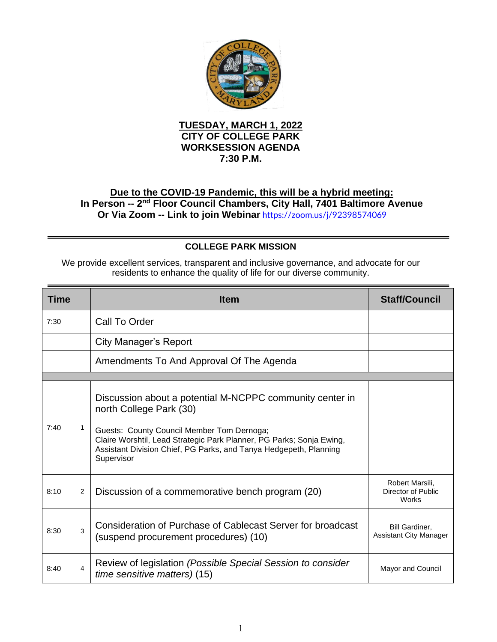

## **TUESDAY, MARCH 1, 2022 CITY OF COLLEGE PARK WORKSESSION AGENDA 7:30 P.M.**

## **Due to the COVID-19 Pandemic, this will be a hybrid meeting:** In Person -- 2<sup>nd</sup> Floor Council Chambers, City Hall, 7401 Baltimore Avenue **Or Via Zoom -- Link to join Webinar** <https://zoom.us/j/92398574069>

## **COLLEGE PARK MISSION**

We provide excellent services, transparent and inclusive governance, and advocate for our residents to enhance the quality of life for our diverse community.

| <b>Time</b> |                | <b>Item</b>                                                                                                                                                                                                                                                                                  | <b>Staff/Council</b>                            |
|-------------|----------------|----------------------------------------------------------------------------------------------------------------------------------------------------------------------------------------------------------------------------------------------------------------------------------------------|-------------------------------------------------|
| 7:30        |                | Call To Order                                                                                                                                                                                                                                                                                |                                                 |
|             |                | City Manager's Report                                                                                                                                                                                                                                                                        |                                                 |
|             |                | Amendments To And Approval Of The Agenda                                                                                                                                                                                                                                                     |                                                 |
|             |                |                                                                                                                                                                                                                                                                                              |                                                 |
| 7:40        | 1              | Discussion about a potential M-NCPPC community center in<br>north College Park (30)<br>Guests: County Council Member Tom Dernoga;<br>Claire Worshtil, Lead Strategic Park Planner, PG Parks; Sonja Ewing,<br>Assistant Division Chief, PG Parks, and Tanya Hedgepeth, Planning<br>Supervisor |                                                 |
| 8:10        | 2              | Discussion of a commemorative bench program (20)                                                                                                                                                                                                                                             | Robert Marsili.<br>Director of Public<br>Works  |
| 8:30        | 3              | Consideration of Purchase of Cablecast Server for broadcast<br>(suspend procurement procedures) (10)                                                                                                                                                                                         | Bill Gardiner,<br><b>Assistant City Manager</b> |
| 8:40        | $\overline{4}$ | Review of legislation (Possible Special Session to consider<br>time sensitive matters) (15)                                                                                                                                                                                                  | Mayor and Council                               |